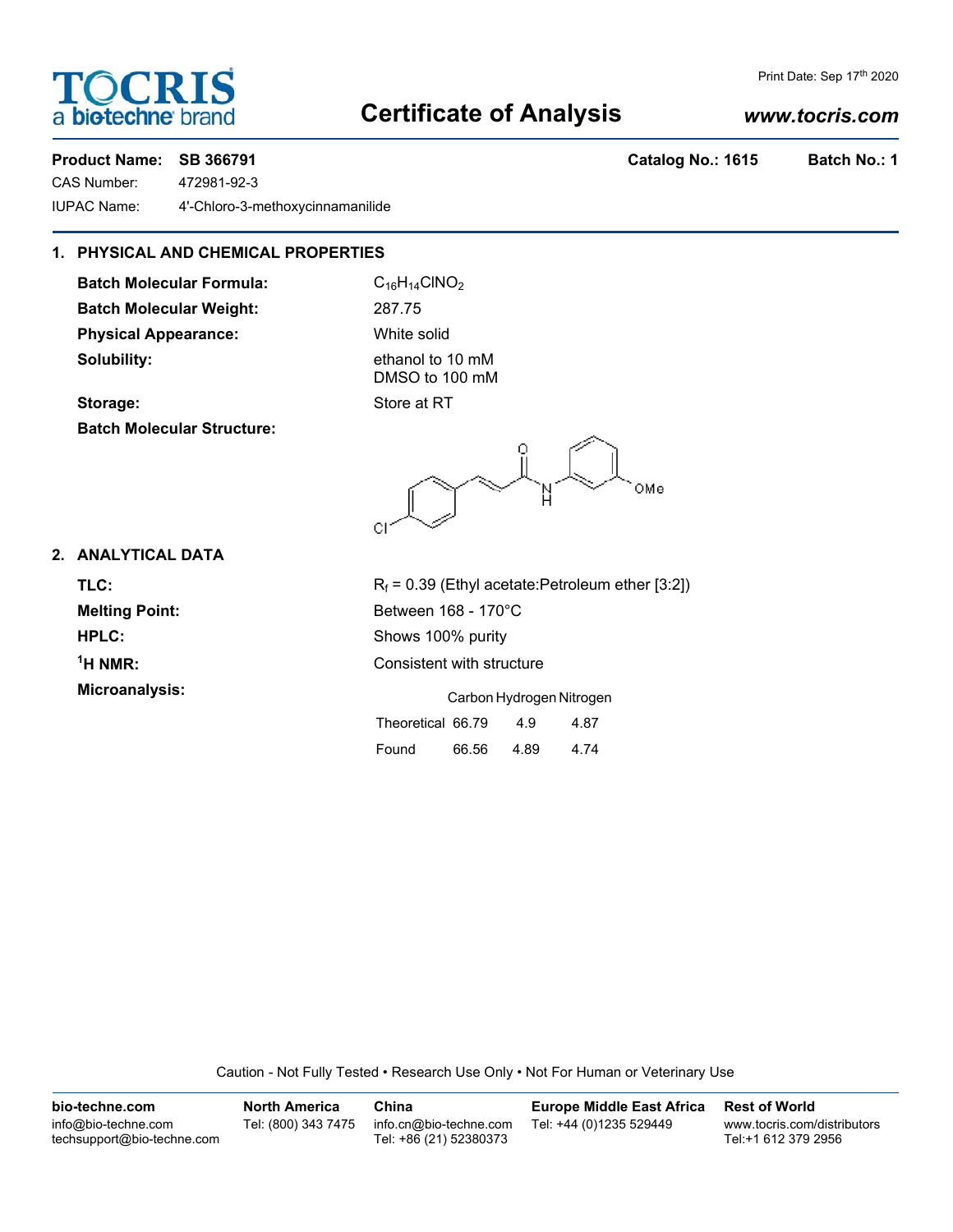# **Certificate of Analysis**

## *www.tocris.com*

Print Date: Sep 17th 2020

**OCRI** 

a **biotechne** bi

CAS Number: 472981-92-3 IUPAC Name: 4'-Chloro-3-methoxycinnamanilide

### **1. PHYSICAL AND CHEMICAL PROPERTIES**

**Batch Molecular Formula:** C<sub>16</sub>H<sub>14</sub>ClNO<sub>2</sub> **Batch Molecular Weight:** 287.75 **Physical Appearance:** White solid **Solubility:** ethanol to 10 mM

DMSO to 100 mM **Storage:** Store at RT

**Batch Molecular Structure:**

OMe СI

**2. ANALYTICAL DATA**

 $1$ <sup>H</sup> NMR: **Microanalysis:** Carbon Hydrogen Nitrogen

**TLC:**  $R_f = 0.39$  (Ethyl acetate:Petroleum ether [3:2]) **Melting Point:** Between 168 - 170°C **HPLC:** Shows 100% purity **Consistent with structure** 

|                   | Carbon Hydrogen Nitroge |      |      |  |  |
|-------------------|-------------------------|------|------|--|--|
| Theoretical 66.79 |                         | 4.9  | 4.87 |  |  |
| Found             | 66.56                   | 4.89 | 4.74 |  |  |

Caution - Not Fully Tested • Research Use Only • Not For Human or Veterinary Use

| bio-techne.com                                    | <b>North America</b> | China                                            | Europe Middle East Africa | <b>Rest of World</b>                               |
|---------------------------------------------------|----------------------|--------------------------------------------------|---------------------------|----------------------------------------------------|
| info@bio-techne.com<br>techsupport@bio-techne.com | Tel: (800) 343 7475  | info.cn@bio-techne.com<br>Tel: +86 (21) 52380373 | Tel: +44 (0)1235 529449   | www.tocris.com/distributors<br>Tel:+1 612 379 2956 |

**Product Name: SB 366791 Catalog No.: 1615 Batch No.: 1**